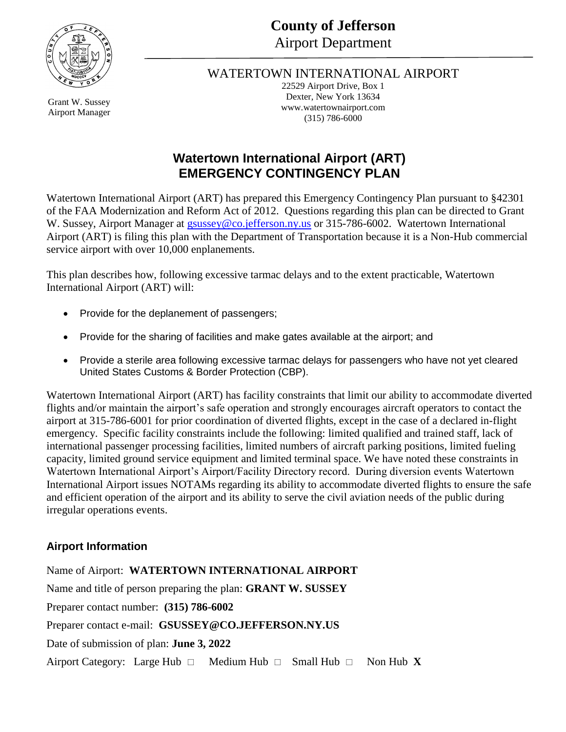

#### WATERTOWN INTERNATIONAL AIRPORT

22529 Airport Drive, Box 1 Dexter, New York 13634 www.watertownairport.com (315) 786-6000

# **Watertown International Airport (ART) EMERGENCY CONTINGENCY PLAN**

Watertown International Airport (ART) has prepared this Emergency Contingency Plan pursuant to §42301 of the FAA Modernization and Reform Act of 2012. Questions regarding this plan can be directed to Grant W. Sussey, Airport Manager at **gsussey@co.jefferson.ny.us** or 315-786-6002. Watertown International Airport (ART) is filing this plan with the Department of Transportation because it is a Non-Hub commercial service airport with over 10,000 enplanements.

This plan describes how, following excessive tarmac delays and to the extent practicable, Watertown International Airport (ART) will:

- Provide for the deplanement of passengers;
- Provide for the sharing of facilities and make gates available at the airport; and
- Provide a sterile area following excessive tarmac delays for passengers who have not yet cleared United States Customs & Border Protection (CBP).

Watertown International Airport (ART) has facility constraints that limit our ability to accommodate diverted flights and/or maintain the airport's safe operation and strongly encourages aircraft operators to contact the airport at 315-786-6001 for prior coordination of diverted flights, except in the case of a declared in-flight emergency. Specific facility constraints include the following: limited qualified and trained staff, lack of international passenger processing facilities, limited numbers of aircraft parking positions, limited fueling capacity, limited ground service equipment and limited terminal space. We have noted these constraints in Watertown International Airport's Airport/Facility Directory record. During diversion events Watertown International Airport issues NOTAMs regarding its ability to accommodate diverted flights to ensure the safe and efficient operation of the airport and its ability to serve the civil aviation needs of the public during irregular operations events.

## **Airport Information**

Name of Airport: **WATERTOWN INTERNATIONAL AIRPORT** Name and title of person preparing the plan: **GRANT W. SUSSEY** Preparer contact number: **(315) 786-6002** Preparer contact e-mail: **GSUSSEY@CO.JEFFERSON.NY.US** Date of submission of plan: **June 3, 2022** Airport Category: Large Hub  $\Box$  Medium Hub  $\Box$  Small Hub  $\Box$  Non Hub **X** 

Grant W. Sussey Airport Manager